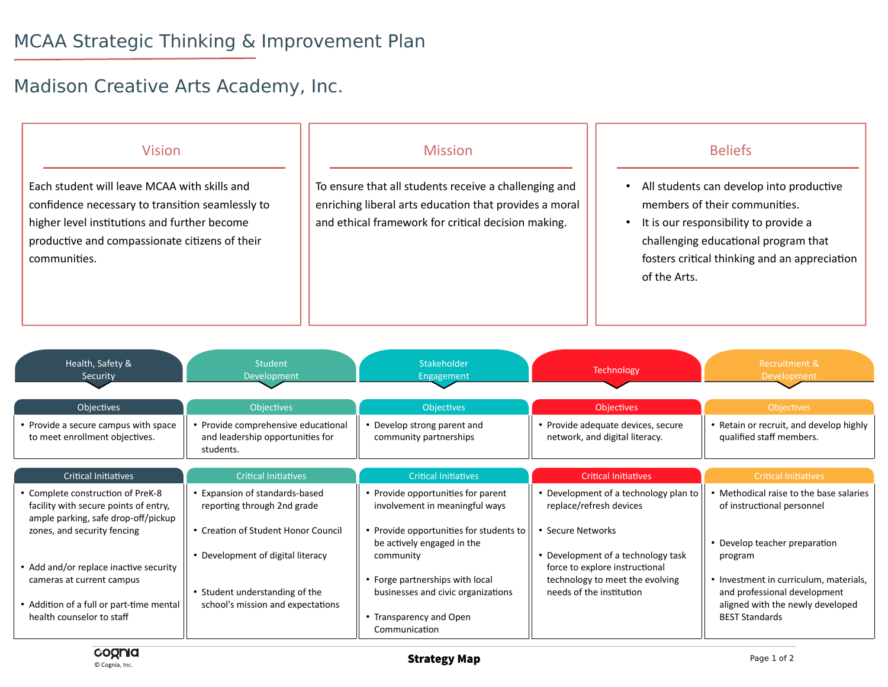## MCAA Strategic Thinking & Improvement Plan

## Madison Creative Arts Academy, Inc.

| <b>Vision</b>                                                                                                                                                                                                      | <b>Mission</b>                                                                                                                                                         | <b>Beliefs</b>                                                                                                                                                                                                              |
|--------------------------------------------------------------------------------------------------------------------------------------------------------------------------------------------------------------------|------------------------------------------------------------------------------------------------------------------------------------------------------------------------|-----------------------------------------------------------------------------------------------------------------------------------------------------------------------------------------------------------------------------|
| Each student will leave MCAA with skills and<br>confidence necessary to transition seamlessly to<br>higher level institutions and further become<br>productive and compassionate citizens of their<br>communities. | To ensure that all students receive a challenging and<br>enriching liberal arts education that provides a moral<br>and ethical framework for critical decision making. | All students can develop into productive<br>members of their communities.<br>It is our responsibility to provide a<br>challenging educational program that<br>fosters critical thinking and an appreciation<br>of the Arts. |

| Health, Safety &<br>Security                                               | <b>Student</b><br>Development                                                        | Stakeholder<br>Engagement                                             | Technology                                                           | Recruitment &<br>Development                                                                               |
|----------------------------------------------------------------------------|--------------------------------------------------------------------------------------|-----------------------------------------------------------------------|----------------------------------------------------------------------|------------------------------------------------------------------------------------------------------------|
| <b>Objectives</b>                                                          | <b>Objectives</b>                                                                    | <b>Objectives</b>                                                     | <b>Objectives</b>                                                    | <b>Objectives</b>                                                                                          |
| • Provide a secure campus with space<br>to meet enrollment objectives.     | • Provide comprehensive educational<br>and leadership opportunities for<br>students. | • Develop strong parent and<br>community partnerships                 | • Provide adequate devices, secure<br>network, and digital literacy. | • Retain or recruit, and develop highly<br>qualified staff members.                                        |
| Critical Initiatives                                                       | <b>Critical Initiatives</b>                                                          | <b>Critical Initiatives</b>                                           | <b>Critical Initiatives</b>                                          | <b>Critical Initiatives</b>                                                                                |
| • Complete construction of PreK-8<br>facility with secure points of entry, | • Expansion of standards-based<br>reporting through 2nd grade                        | • Provide opportunities for parent<br>involvement in meaningful ways  | • Development of a technology plan to<br>replace/refresh devices     | • Methodical raise to the base salaries<br>of instructional personnel                                      |
| ample parking, safe drop-off/pickup<br>zones, and security fencing         | • Creation of Student Honor Council                                                  | • Provide opportunities for students to<br>be actively engaged in the | • Secure Networks                                                    | • Develop teacher preparation                                                                              |
| • Add and/or replace inactive security                                     | • Development of digital literacy                                                    | community                                                             | • Development of a technology task<br>force to explore instructional | program                                                                                                    |
| cameras at current campus<br>• Addition of a full or part-time mental      | • Student understanding of the                                                       | • Forge partnerships with local<br>businesses and civic organizations | technology to meet the evolving<br>needs of the institution          | • Investment in curriculum, materials,<br>and professional development<br>aligned with the newly developed |
| health counselor to staff                                                  | school's mission and expectations                                                    | • Transparency and Open<br>Communication                              |                                                                      | <b>BEST Standards</b>                                                                                      |